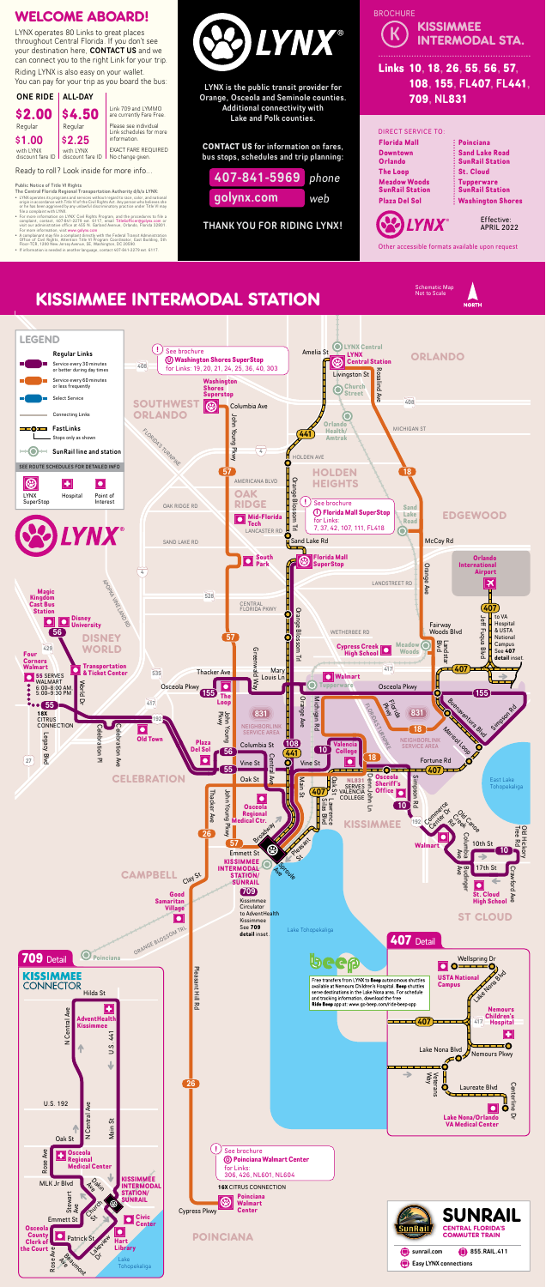Riding LYNX is also easy on your wallet. You can pay for your trip as you board the bus:

- The Central Florida Regional Transportation Authority d/b/a LYNX:
- LYNX operates its programs and services without regard to race, color, and national<br>origin in accordance with Title VI of the Civil Rights Act. Any person who believes she<br>or he has been aggrieved by any unlawful discrim
- For more information on LYNX' Civil Rights Program, and the procedures to file a<br>complaint, contact, 407-841-2279 ext. 6117, email Title6officer@golynx.com or<br>visit our administrative office at 455 N. Garland Avenue, Orl
- A complainant may file a complaint directly with the Federal Transit Administration<br>Office of Civil Rights, Attention Title VI Program Coordinator, East Building, 5th<br>Floor-TCR, 1200 New Jersey Avenue, SE, Washington, DC 2
- 





LYNX is the public transit provider for Orange, Osceola and Seminole counties. Additional connectivity with Lake and Polk counties.

**CONTACT US** for information on fares, bus stops, schedules and trip planning:

THANK YOU FOR RIDING LYNX!



# WELCOME ABOARD!

Ready to roll? Look inside for more info...

LYNX operates 80 Links to great places throughout Central Florida. If you don't see your destination here, CONTACT US and we can connect you to the right Link for your trip.



with LYNX discount fare ID No change given.

Other accessible formats available upon request



#### Public Notice of Title VI Rights

# **Links 10, 18, 26, 55, 56, 57, 108, 155,** FL**407,** FL**441, 709,** NL**831 BROCHURE KISSIMMEE** INTERMODAL STA.